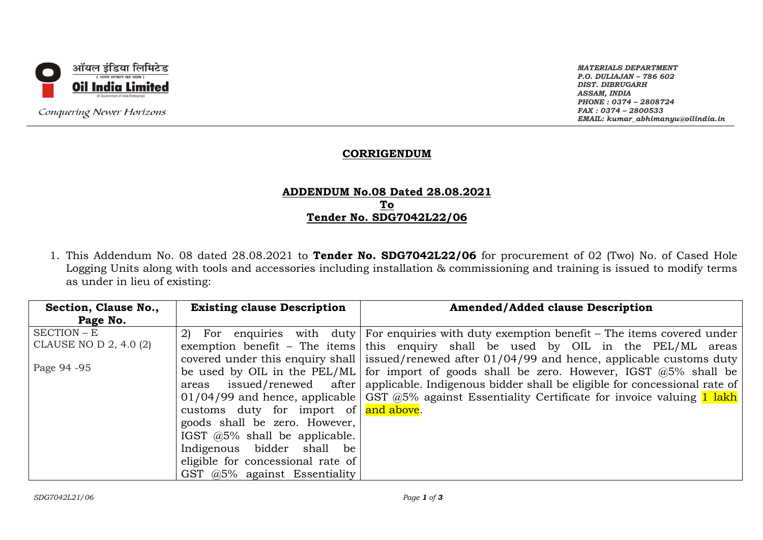

Conquering Newer Horizons

*MATERIALS DEPARTMENT P.O. DULIAJAN – 786 602 DIST. DIBRUGARH ASSAM, INDIA PHONE : 0374 – 2808724 FAX : 0374 – 2800533 EMAIL: kumar\_abhimanyu@oilindia.in*

# **CORRIGENDUM**

# **ADDENDUM No.08 Dated 28.08.2021 To Tender No. SDG7042L22/06**

1. This Addendum No. 08 dated 28.08.2021 to **Tender No. SDG7042L22/06** for procurement of 02 (Two) No. of Cased Hole Logging Units along with tools and accessories including installation & commissioning and training is issued to modify terms as under in lieu of existing:

| Section, Clause No.,   | <b>Existing clause Description</b>                        | <b>Amended/Added clause Description</b>                                                                    |
|------------------------|-----------------------------------------------------------|------------------------------------------------------------------------------------------------------------|
| Page No.               |                                                           |                                                                                                            |
| SECTION – E            |                                                           | 2) For enquiries with duty For enquiries with duty exemption benefit – The items covered under             |
| CLAUSE NO D 2, 4.0 (2) |                                                           | exemption benefit – The items this enquiry shall be used by OIL in the $PEL/ML$ areas                      |
|                        |                                                           | covered under this enquiry shall issued/renewed after 01/04/99 and hence, applicable customs duty          |
| Page 94 - 95           |                                                           | be used by OIL in the PEL/ML for import of goods shall be zero. However, IGST $@5\%$ shall be              |
|                        | areas                                                     | issued/renewed after   applicable. Indigenous bidder shall be eligible for concessional rate of            |
|                        |                                                           | 01/04/99 and hence, applicable $\sqrt{GS}$ @5% against Essentiality Certificate for invoice valuing 1 lakh |
|                        | customs duty for import of $\frac{1}{\text{and above}}$ . |                                                                                                            |
|                        | goods shall be zero. However,                             |                                                                                                            |
|                        | IGST $@5\%$ shall be applicable.                          |                                                                                                            |
|                        | Indigenous bidder shall be                                |                                                                                                            |
|                        | eligible for concessional rate of                         |                                                                                                            |
|                        | GST $@5\%$ against Essentiality                           |                                                                                                            |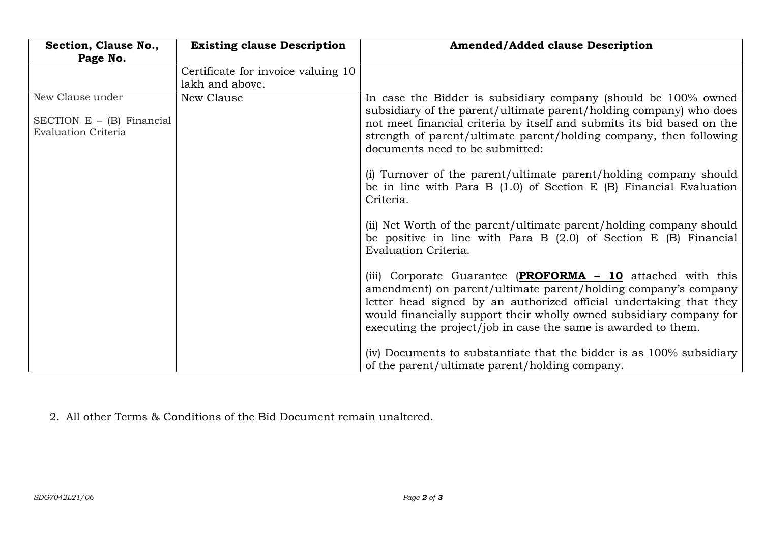| Section, Clause No.,<br>Page No.                                              | <b>Existing clause Description</b>                    | <b>Amended/Added clause Description</b>                                                                                                                                                                                                                                                                                                      |
|-------------------------------------------------------------------------------|-------------------------------------------------------|----------------------------------------------------------------------------------------------------------------------------------------------------------------------------------------------------------------------------------------------------------------------------------------------------------------------------------------------|
|                                                                               | Certificate for invoice valuing 10<br>lakh and above. |                                                                                                                                                                                                                                                                                                                                              |
| New Clause under<br>SECTION $E - (B)$ Financial<br><b>Evaluation Criteria</b> | New Clause                                            | In case the Bidder is subsidiary company (should be 100% owned<br>subsidiary of the parent/ultimate parent/holding company) who does<br>not meet financial criteria by itself and submits its bid based on the<br>strength of parent/ultimate parent/holding company, then following<br>documents need to be submitted:                      |
|                                                                               |                                                       | (i) Turnover of the parent/ultimate parent/holding company should<br>be in line with Para B $(1.0)$ of Section E $(B)$ Financial Evaluation<br>Criteria.                                                                                                                                                                                     |
|                                                                               |                                                       | (ii) Net Worth of the parent/ultimate parent/holding company should<br>be positive in line with Para B $(2.0)$ of Section E $(B)$ Financial<br>Evaluation Criteria.                                                                                                                                                                          |
|                                                                               |                                                       | (iii) Corporate Guarantee (PROFORMA - 10 attached with this<br>amendment) on parent/ultimate parent/holding company's company<br>letter head signed by an authorized official undertaking that they<br>would financially support their wholly owned subsidiary company for<br>executing the project/job in case the same is awarded to them. |
|                                                                               |                                                       | (iv) Documents to substantiate that the bidder is as 100% subsidiary<br>of the parent/ultimate parent/holding company.                                                                                                                                                                                                                       |

2. All other Terms & Conditions of the Bid Document remain unaltered.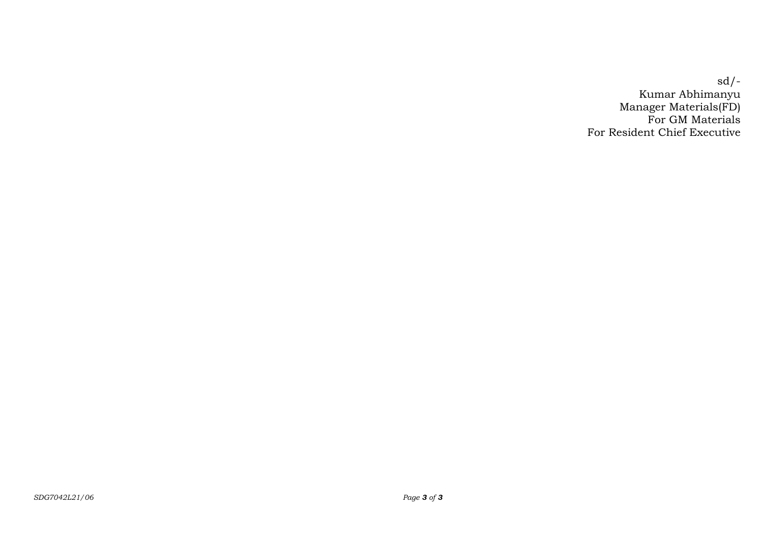sd/- Kumar Abhimanyu Manager Materials(FD) For GM Materials For Resident Chief Executive